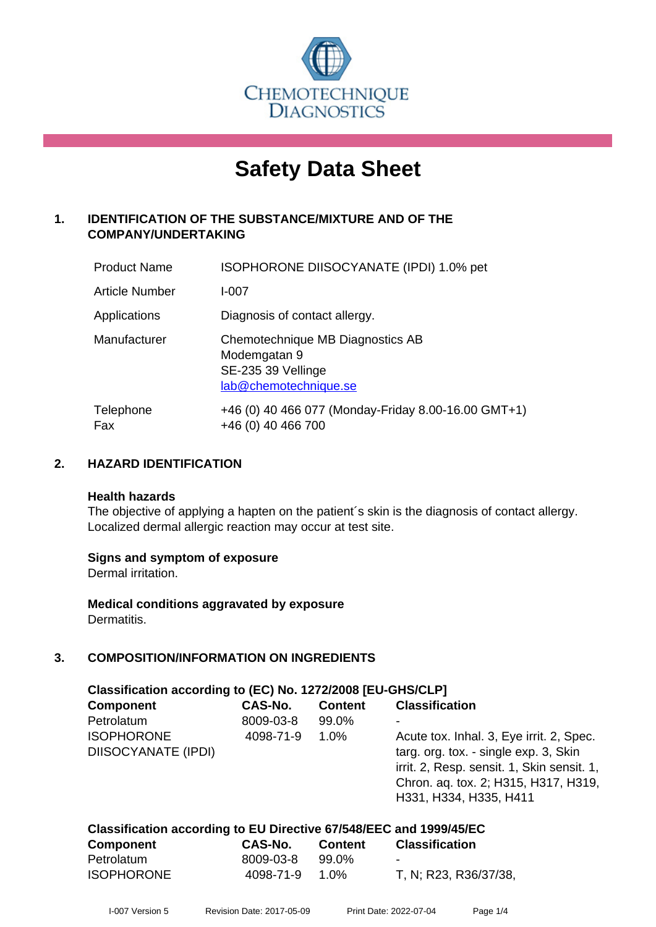

# **Safety Data Sheet**

## **1. IDENTIFICATION OF THE SUBSTANCE/MIXTURE AND OF THE COMPANY/UNDERTAKING**

| <b>Product Name</b>   | ISOPHORONE DIISOCYANATE (IPDI) 1.0% pet                                                         |
|-----------------------|-------------------------------------------------------------------------------------------------|
| <b>Article Number</b> | $I - 007$                                                                                       |
| Applications          | Diagnosis of contact allergy.                                                                   |
| Manufacturer          | Chemotechnique MB Diagnostics AB<br>Modemgatan 9<br>SE-235 39 Vellinge<br>lab@chemotechnique.se |
| Telephone<br>Fax      | +46 (0) 40 466 077 (Monday-Friday 8.00-16.00 GMT+1)<br>+46 (0) 40 466 700                       |

## **2. HAZARD IDENTIFICATION**

#### **Health hazards**

The objective of applying a hapten on the patient's skin is the diagnosis of contact allergy. Localized dermal allergic reaction may occur at test site.

## **Signs and symptom of exposure**

Dermal irritation.

**Medical conditions aggravated by exposure** Dermatitis.

## **3. COMPOSITION/INFORMATION ON INGREDIENTS**

| Classification according to (EC) No. 1272/2008 [EU-GHS/CLP] |           |                |                                            |  |  |
|-------------------------------------------------------------|-----------|----------------|--------------------------------------------|--|--|
| <b>Component</b>                                            | CAS-No.   | <b>Content</b> | <b>Classification</b>                      |  |  |
| Petrolatum                                                  | 8009-03-8 | 99.0%          |                                            |  |  |
| <b>ISOPHORONE</b>                                           | 4098-71-9 | $1.0\%$        | Acute tox. Inhal. 3, Eye irrit. 2, Spec.   |  |  |
| <b>DIISOCYANATE (IPDI)</b>                                  |           |                | targ. org. tox. - single exp. 3, Skin      |  |  |
|                                                             |           |                | irrit. 2, Resp. sensit. 1, Skin sensit. 1, |  |  |
|                                                             |           |                | Chron. aq. tox. 2; H315, H317, H319,       |  |  |
|                                                             |           |                | H331, H334, H335, H411                     |  |  |
|                                                             |           |                |                                            |  |  |

| Classification according to EU Directive 67/548/EEC and 1999/45/EC |  |  |
|--------------------------------------------------------------------|--|--|
|--------------------------------------------------------------------|--|--|

| <b>Component</b>  | <b>CAS-No.</b> | <b>Content</b> | <b>Classification</b>    |
|-------------------|----------------|----------------|--------------------------|
| Petrolatum        | 8009-03-8      | 99.0%          | $\overline{\phantom{a}}$ |
| <b>ISOPHORONE</b> | 4098-71-9      | $1.0\%$        | T, N; R23, R36/37/38,    |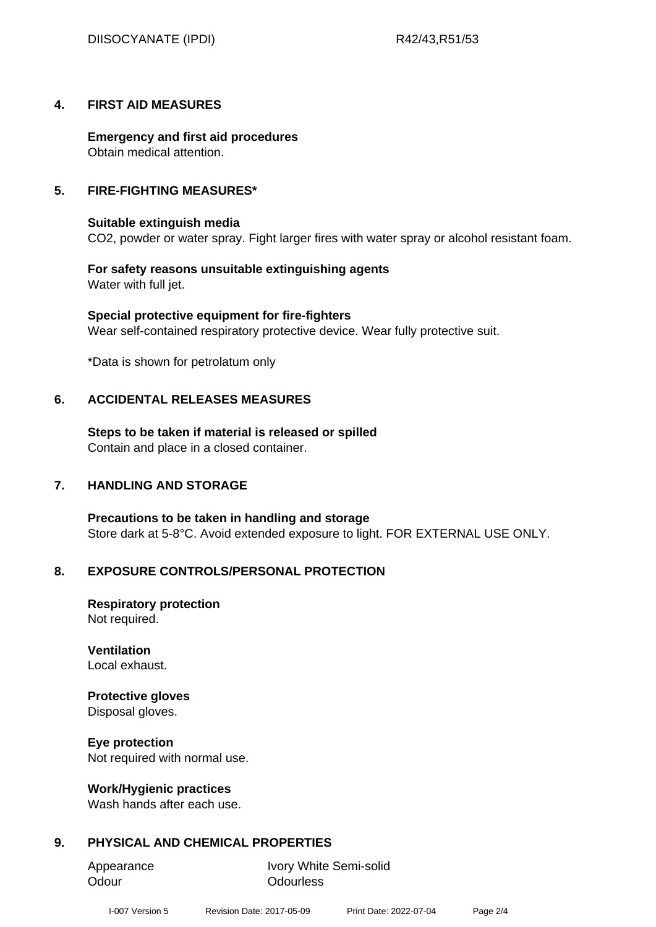## **4. FIRST AID MEASURES**

**Emergency and first aid procedures** Obtain medical attention.

## **5. FIRE-FIGHTING MEASURES\***

## **Suitable extinguish media**

CO2, powder or water spray. Fight larger fires with water spray or alcohol resistant foam.

#### **For safety reasons unsuitable extinguishing agents** Water with full jet.

**Special protective equipment for fire-fighters** Wear self-contained respiratory protective device. Wear fully protective suit.

\*Data is shown for petrolatum only

## **6. ACCIDENTAL RELEASES MEASURES**

**Steps to be taken if material is released or spilled** Contain and place in a closed container.

## **7. HANDLING AND STORAGE**

**Precautions to be taken in handling and storage** Store dark at 5-8°C. Avoid extended exposure to light. FOR EXTERNAL USE ONLY.

## **8. EXPOSURE CONTROLS/PERSONAL PROTECTION**

**Respiratory protection** Not required.

**Ventilation** Local exhaust.

## **Protective gloves**

Disposal gloves.

**Eye protection**

Not required with normal use.

## **Work/Hygienic practices**

Wash hands after each use.

## **9. PHYSICAL AND CHEMICAL PROPERTIES**

Odour **Odourless** 

Appearance Ivory White Semi-solid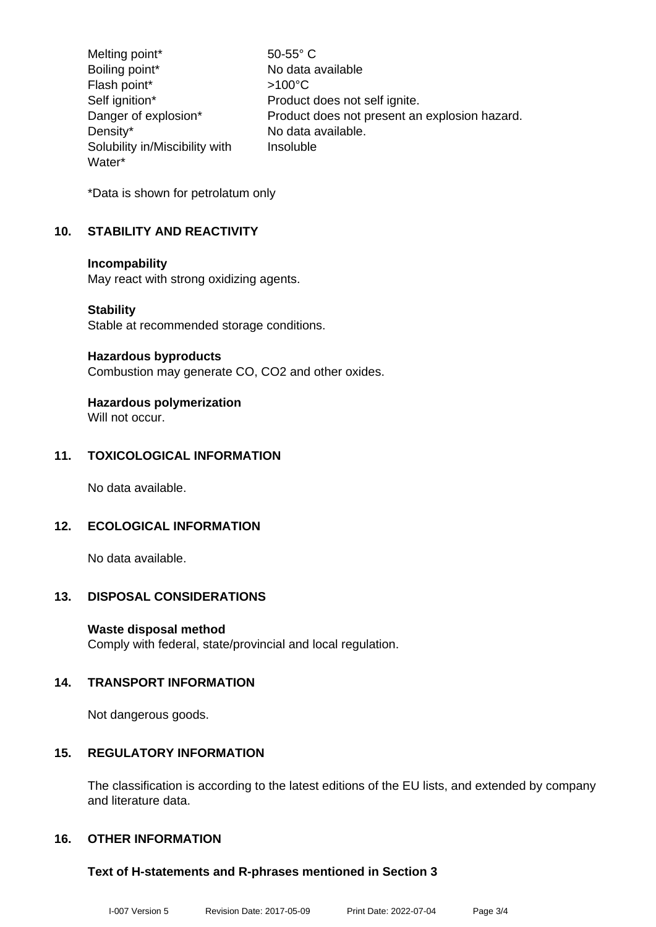Melting point\* 50-55° C Boiling point\* No data available Flash point\* >100°C Self ignition\* Product does not self ignite. Danger of explosion\* Product does not present an explosion hazard. Density\* No data available. Solubility in/Miscibility with Water\* Insoluble

\*Data is shown for petrolatum only

## **10. STABILITY AND REACTIVITY**

#### **Incompability**

May react with strong oxidizing agents.

#### **Stability**

Stable at recommended storage conditions.

#### **Hazardous byproducts**

Combustion may generate CO, CO2 and other oxides.

## **Hazardous polymerization**

Will not occur.

## **11. TOXICOLOGICAL INFORMATION**

No data available.

## **12. ECOLOGICAL INFORMATION**

No data available.

## **13. DISPOSAL CONSIDERATIONS**

## **Waste disposal method**

Comply with federal, state/provincial and local regulation.

## **14. TRANSPORT INFORMATION**

Not dangerous goods.

## **15. REGULATORY INFORMATION**

The classification is according to the latest editions of the EU lists, and extended by company and literature data.

## **16. OTHER INFORMATION**

## **Text of H-statements and R-phrases mentioned in Section 3**